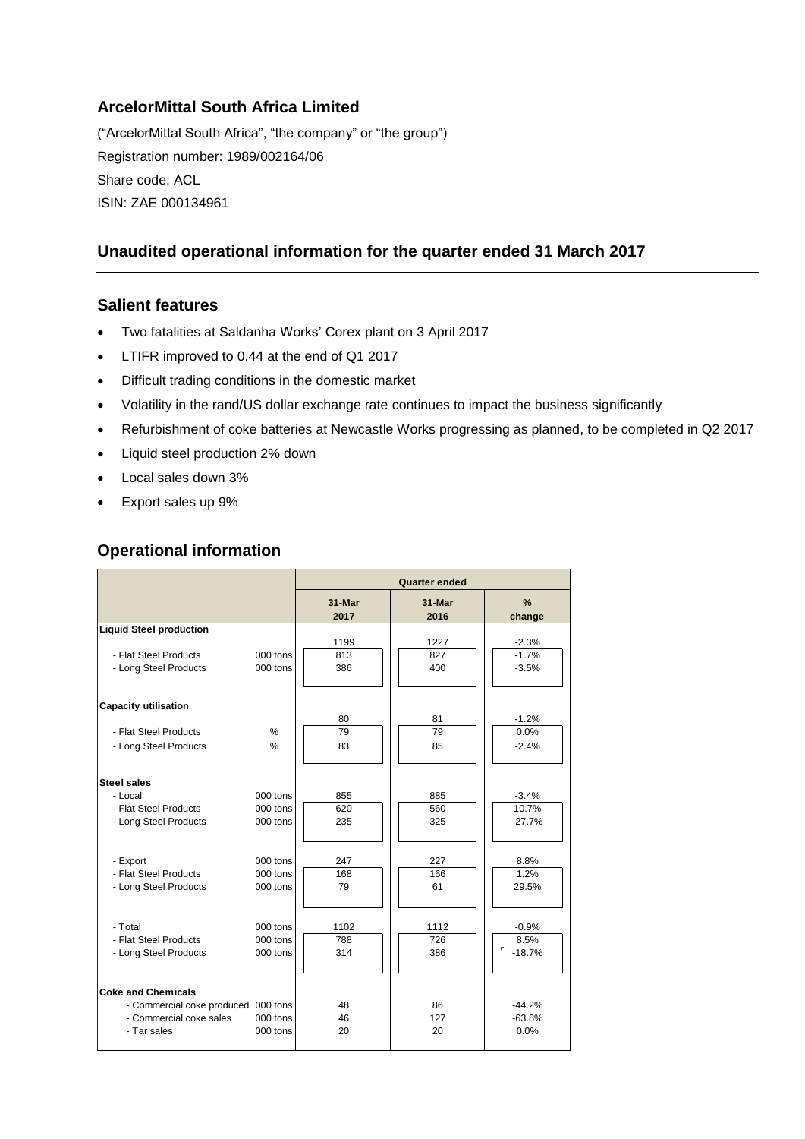# **ArcelorMittal South Africa Limited**

("ArcelorMittal South Africa", "the company" or "the group") Registration number: 1989/002164/06 Share code: ACL ISIN: ZAE 000134961

# **Unaudited operational information for the quarter ended 31 March 2017**

#### **Salient features**

- Two fatalities at Saldanha Works' Corex plant on 3 April 2017
- LTIFR improved to 0.44 at the end of Q1 2017
- Difficult trading conditions in the domestic market
- Volatility in the rand/US dollar exchange rate continues to impact the business significantly
- Refurbishment of coke batteries at Newcastle Works progressing as planned, to be completed in Q2 2017
- Liquid steel production 2% down
- Local sales down 3%
- Export sales up 9%

## **Operational information**

|                                                                                  |                                  | Quarter ended      |                    |                               |
|----------------------------------------------------------------------------------|----------------------------------|--------------------|--------------------|-------------------------------|
|                                                                                  |                                  | 31-Mar<br>2017     | 31-Mar<br>2016     | $\frac{9}{6}$<br>change       |
| <b>Liquid Steel production</b><br>- Flat Steel Products<br>- Long Steel Products | 000 tons<br>000 tons             | 1199<br>813<br>386 | 1227<br>827<br>400 | $-2.3%$<br>$-1.7%$<br>$-3.5%$ |
| <b>Capacity utilisation</b>                                                      |                                  |                    |                    |                               |
| - Flat Steel Products<br>- Long Steel Products                                   | %<br>$\frac{0}{0}$               | 80<br>79<br>83     | 81<br>79<br>85     | $-1.2%$<br>0.0%<br>$-2.4%$    |
| <b>Steel sales</b>                                                               |                                  |                    |                    |                               |
| - Local<br>- Flat Steel Products<br>- Long Steel Products                        | 000 tons<br>000 tons<br>000 tons | 855<br>620<br>235  | 885<br>560<br>325  | $-3.4%$<br>10.7%<br>$-27.7%$  |
| - Export<br>- Flat Steel Products<br>- Long Steel Products                       | 000 tons<br>000 tons<br>000 tons | 247<br>168<br>79   | 227<br>166<br>61   | 8.8%<br>1.2%<br>29.5%         |
| - Total<br>- Flat Steel Products<br>- Long Steel Products                        | 000 tons<br>000 tons<br>000 tons | 1102<br>788<br>314 | 1112<br>726<br>386 | $-0.9%$<br>8.5%<br>$-18.7%$   |
| <b>Coke and Chemicals</b>                                                        |                                  |                    |                    |                               |
| - Commercial coke produced 000 tons<br>- Commercial coke sales<br>- Tar sales    | 000 tons<br>000 tons             | 48<br>46<br>20     | 86<br>127<br>20    | $-44.2%$<br>$-63.8%$<br>0.0%  |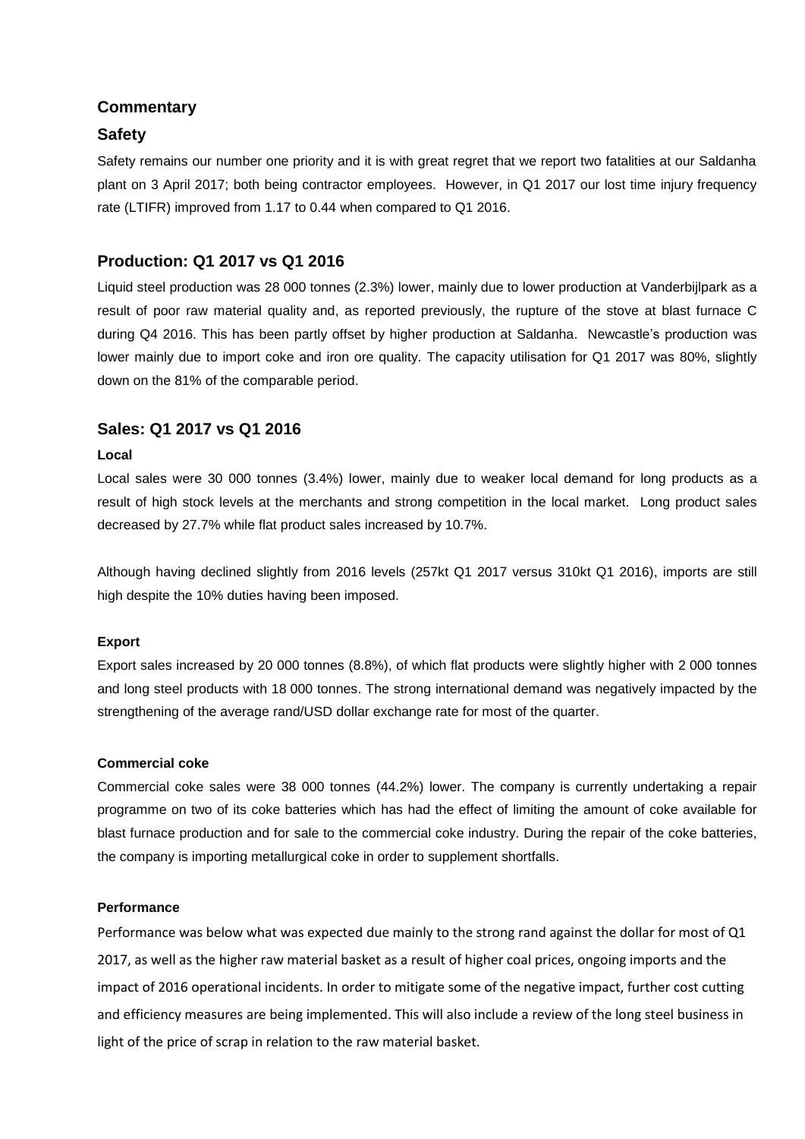### **Commentary**

### **Safety**

Safety remains our number one priority and it is with great regret that we report two fatalities at our Saldanha plant on 3 April 2017; both being contractor employees. However, in Q1 2017 our lost time injury frequency rate (LTIFR) improved from 1.17 to 0.44 when compared to Q1 2016.

### **Production: Q1 2017 vs Q1 2016**

Liquid steel production was 28 000 tonnes (2.3%) lower, mainly due to lower production at Vanderbijlpark as a result of poor raw material quality and, as reported previously, the rupture of the stove at blast furnace C during Q4 2016. This has been partly offset by higher production at Saldanha. Newcastle's production was lower mainly due to import coke and iron ore quality. The capacity utilisation for Q1 2017 was 80%, slightly down on the 81% of the comparable period.

### **Sales: Q1 2017 vs Q1 2016**

#### **Local**

Local sales were 30 000 tonnes (3.4%) lower, mainly due to weaker local demand for long products as a result of high stock levels at the merchants and strong competition in the local market. Long product sales decreased by 27.7% while flat product sales increased by 10.7%.

Although having declined slightly from 2016 levels (257kt Q1 2017 versus 310kt Q1 2016), imports are still high despite the 10% duties having been imposed.

#### **Export**

Export sales increased by 20 000 tonnes (8.8%), of which flat products were slightly higher with 2 000 tonnes and long steel products with 18 000 tonnes. The strong international demand was negatively impacted by the strengthening of the average rand/USD dollar exchange rate for most of the quarter.

#### **Commercial coke**

Commercial coke sales were 38 000 tonnes (44.2%) lower. The company is currently undertaking a repair programme on two of its coke batteries which has had the effect of limiting the amount of coke available for blast furnace production and for sale to the commercial coke industry. During the repair of the coke batteries, the company is importing metallurgical coke in order to supplement shortfalls.

#### **Performance**

Performance was below what was expected due mainly to the strong rand against the dollar for most of Q1 2017, as well as the higher raw material basket as a result of higher coal prices, ongoing imports and the impact of 2016 operational incidents. In order to mitigate some of the negative impact, further cost cutting and efficiency measures are being implemented. This will also include a review of the long steel business in light of the price of scrap in relation to the raw material basket.